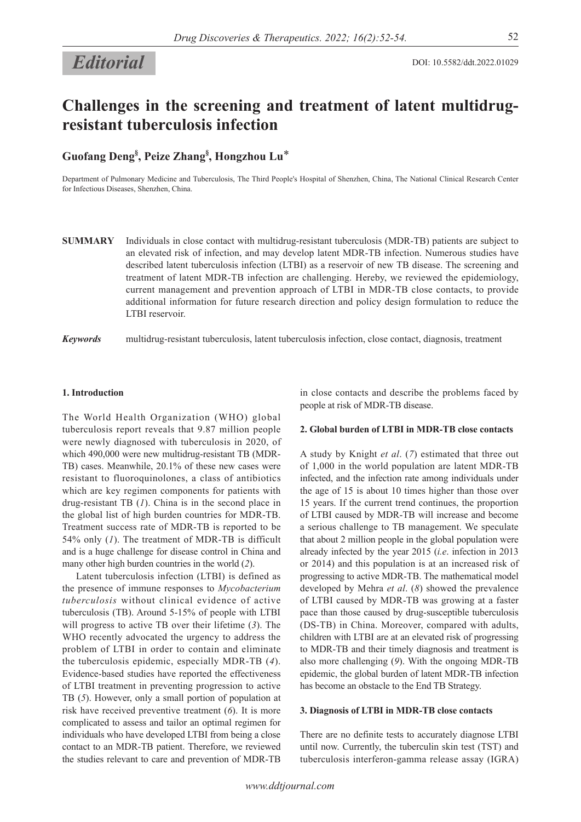# *Editorial*

## **Challenges in the screening and treatment of latent multidrugresistant tuberculosis infection**

**Guofang Deng§ , Peize Zhang§ , Hongzhou Lu**\*

Department of Pulmonary Medicine and Tuberculosis, The Third People's Hospital of Shenzhen, China, The National Clinical Research Center for Infectious Diseases, Shenzhen, China.

**SUMMARY** Individuals in close contact with multidrug-resistant tuberculosis (MDR-TB) patients are subject to an elevated risk of infection, and may develop latent MDR-TB infection. Numerous studies have described latent tuberculosis infection (LTBI) as a reservoir of new TB disease. The screening and treatment of latent MDR-TB infection are challenging. Hereby, we reviewed the epidemiology, current management and prevention approach of LTBI in MDR-TB close contacts, to provide additional information for future research direction and policy design formulation to reduce the LTBI reservoir.

*Keywords* multidrug-resistant tuberculosis, latent tuberculosis infection, close contact, diagnosis, treatment

## **1. Introduction**

The World Health Organization (WHO) global tuberculosis report reveals that 9.87 million people were newly diagnosed with tuberculosis in 2020, of which 490,000 were new multidrug-resistant TB (MDR-TB) cases. Meanwhile, 20.1% of these new cases were resistant to fluoroquinolones, a class of antibiotics which are key regimen components for patients with drug-resistant TB (*1*). China is in the second place in the global list of high burden countries for MDR-TB. Treatment success rate of MDR-TB is reported to be 54% only (*1*). The treatment of MDR-TB is difficult and is a huge challenge for disease control in China and many other high burden countries in the world (*2*).

Latent tuberculosis infection (LTBI) is defined as the presence of immune responses to *Mycobacterium tuberculosis* without clinical evidence of active tuberculosis (TB). Around 5-15% of people with LTBI will progress to active TB over their lifetime (*3*). The WHO recently advocated the urgency to address the problem of LTBI in order to contain and eliminate the tuberculosis epidemic, especially MDR-TB (*4*). Evidence-based studies have reported the effectiveness of LTBI treatment in preventing progression to active TB (*5*). However, only a small portion of population at risk have received preventive treatment (*6*). It is more complicated to assess and tailor an optimal regimen for individuals who have developed LTBI from being a close contact to an MDR-TB patient. Therefore, we reviewed the studies relevant to care and prevention of MDR-TB

in close contacts and describe the problems faced by people at risk of MDR-TB disease.

#### **2. Global burden of LTBI in MDR-TB close contacts**

A study by Knight *et al*. (*7*) estimated that three out of 1,000 in the world population are latent MDR-TB infected, and the infection rate among individuals under the age of 15 is about 10 times higher than those over 15 years. If the current trend continues, the proportion of LTBI caused by MDR-TB will increase and become a serious challenge to TB management. We speculate that about 2 million people in the global population were already infected by the year 2015 (*i.e*. infection in 2013 or 2014) and this population is at an increased risk of progressing to active MDR-TB. The mathematical model developed by Mehra *et al*. (*8*) showed the prevalence of LTBI caused by MDR-TB was growing at a faster pace than those caused by drug-susceptible tuberculosis (DS-TB) in China. Moreover, compared with adults, children with LTBI are at an elevated risk of progressing to MDR-TB and their timely diagnosis and treatment is also more challenging (*9*). With the ongoing MDR-TB epidemic, the global burden of latent MDR-TB infection has become an obstacle to the End TB Strategy.

## **3. Diagnosis of LTBI in MDR-TB close contacts**

There are no definite tests to accurately diagnose LTBI until now. Currently, the tuberculin skin test (TST) and tuberculosis interferon-gamma release assay (IGRA)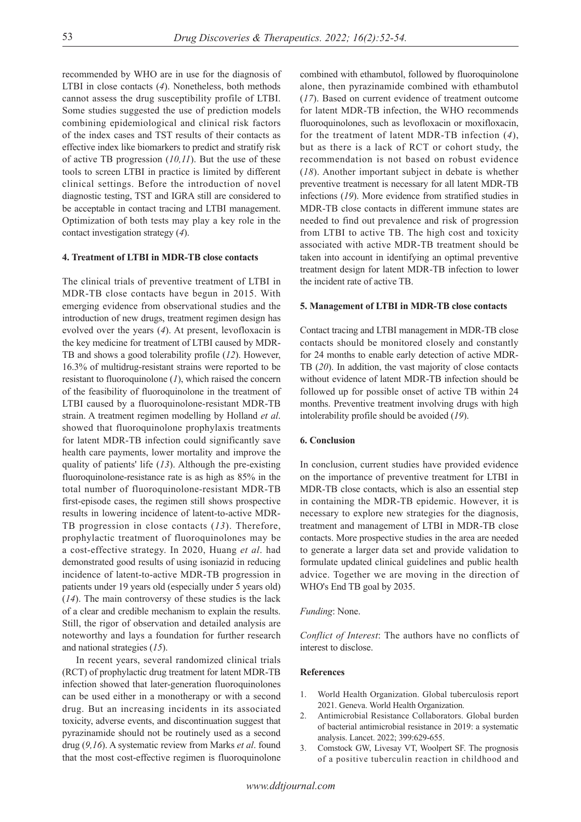recommended by WHO are in use for the diagnosis of LTBI in close contacts (*4*). Nonetheless, both methods cannot assess the drug susceptibility profile of LTBI. Some studies suggested the use of prediction models combining epidemiological and clinical risk factors of the index cases and TST results of their contacts as effective index like biomarkers to predict and stratify risk of active TB progression (*10,11*). But the use of these tools to screen LTBI in practice is limited by different clinical settings. Before the introduction of novel diagnostic testing, TST and IGRA still are considered to be acceptable in contact tracing and LTBI management. Optimization of both tests may play a key role in the contact investigation strategy (*4*).

## **4. Treatment of LTBI in MDR-TB close contacts**

The clinical trials of preventive treatment of LTBI in MDR-TB close contacts have begun in 2015. With emerging evidence from observational studies and the introduction of new drugs, treatment regimen design has evolved over the years (*4*). At present, levofloxacin is the key medicine for treatment of LTBI caused by MDR-TB and shows a good tolerability profile (*12*). However, 16.3% of multidrug-resistant strains were reported to be resistant to fluoroquinolone (*1*), which raised the concern of the feasibility of fluoroquinolone in the treatment of LTBI caused by a fluoroquinolone-resistant MDR-TB strain. A treatment regimen modelling by Holland *et al*. showed that fluoroquinolone prophylaxis treatments for latent MDR-TB infection could significantly save health care payments, lower mortality and improve the quality of patients' life (*13*). Although the pre-existing fluoroquinolone-resistance rate is as high as 85% in the total number of fluoroquinolone-resistant MDR-TB first-episode cases, the regimen still shows prospective results in lowering incidence of latent-to-active MDR-TB progression in close contacts (*13*). Therefore, prophylactic treatment of fluoroquinolones may be a cost-effective strategy. In 2020, Huang *et al*. had demonstrated good results of using isoniazid in reducing incidence of latent-to-active MDR-TB progression in patients under 19 years old (especially under 5 years old) (*14*). The main controversy of these studies is the lack of a clear and credible mechanism to explain the results. Still, the rigor of observation and detailed analysis are noteworthy and lays a foundation for further research and national strategies (*15*).

In recent years, several randomized clinical trials (RCT) of prophylactic drug treatment for latent MDR-TB infection showed that later-generation fluoroquinolones can be used either in a monotherapy or with a second drug. But an increasing incidents in its associated toxicity, adverse events, and discontinuation suggest that pyrazinamide should not be routinely used as a second drug (*9,16*). A systematic review from Marks *et al*. found that the most cost-effective regimen is fluoroquinolone

combined with ethambutol, followed by fluoroquinolone alone, then pyrazinamide combined with ethambutol (*17*). Based on current evidence of treatment outcome for latent MDR-TB infection, the WHO recommends fluoroquinolones, such as levofloxacin or moxifloxacin, for the treatment of latent MDR-TB infection (*4*), but as there is a lack of RCT or cohort study, the recommendation is not based on robust evidence (*18*). Another important subject in debate is whether preventive treatment is necessary for all latent MDR-TB infections (*19*). More evidence from stratified studies in MDR-TB close contacts in different immune states are needed to find out prevalence and risk of progression from LTBI to active TB. The high cost and toxicity associated with active MDR-TB treatment should be taken into account in identifying an optimal preventive treatment design for latent MDR-TB infection to lower the incident rate of active TB.

#### **5. Management of LTBI in MDR-TB close contacts**

Contact tracing and LTBI management in MDR-TB close contacts should be monitored closely and constantly for 24 months to enable early detection of active MDR-TB (*20*). In addition, the vast majority of close contacts without evidence of latent MDR-TB infection should be followed up for possible onset of active TB within 24 months. Preventive treatment involving drugs with high intolerability profile should be avoided (*19*).

#### **6. Conclusion**

In conclusion, current studies have provided evidence on the importance of preventive treatment for LTBI in MDR-TB close contacts, which is also an essential step in containing the MDR-TB epidemic. However, it is necessary to explore new strategies for the diagnosis, treatment and management of LTBI in MDR-TB close contacts. More prospective studies in the area are needed to generate a larger data set and provide validation to formulate updated clinical guidelines and public health advice. Together we are moving in the direction of WHO's End TB goal by 2035.

#### *Funding*: None.

*Conflict of Interest*: The authors have no conflicts of interest to disclose.

## **References**

- 1. World Health Organization. Global tuberculosis report 2021. Geneva. World Health Organization.
- 2. Antimicrobial Resistance Collaborators. Global burden of bacterial antimicrobial resistance in 2019: a systematic analysis. Lancet. 2022; 399:629-655.
- Comstock GW, Livesay VT, Woolpert SF. The prognosis of a positive tuberculin reaction in childhood and